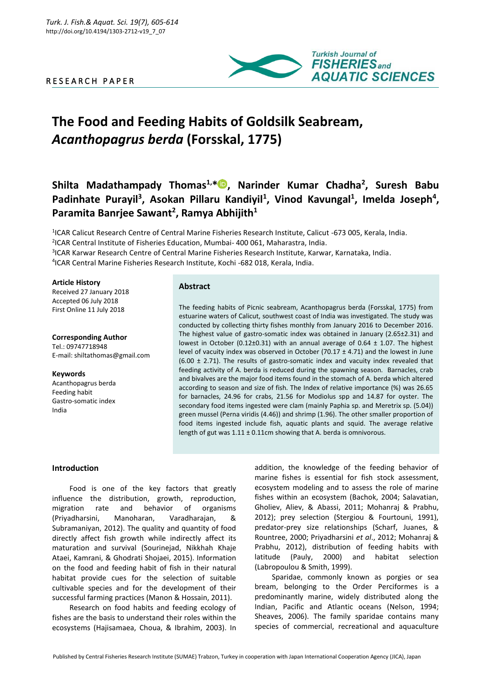# R E S E A R C H P A P E R



# **The Food and Feeding Habits of Goldsilk Seabream,**  *Acanthopagrus berda* **(Forsskal, 1775)**

# **Shilta Madathampady Thomas1,\* , Narinder Kumar Chadha<sup>2</sup> , Suresh Babu**  Padinhate Purayil<sup>3</sup>, Asokan Pillaru Kandiyil<sup>1</sup>, Vinod Kavungal<sup>1</sup>, Imelda Joseph<sup>4</sup>, **Paramita Banrjee Sawant<sup>2</sup> , Ramya Abhijith<sup>1</sup>**

<sup>1</sup>ICAR Calicut Research Centre of Central Marine Fisheries Research Institute, Calicut -673 005, Kerala, India.

2 ICAR Central Institute of Fisheries Education, Mumbai- 400 061, Maharastra, India.

3 ICAR Karwar Research Centre of Central Marine Fisheries Research Institute, Karwar, Karnataka, India.

4 ICAR Central Marine Fisheries Research Institute, Kochi -682 018, Kerala, India.

#### **Article History**

Received 27 January 2018 Accepted 06 July 2018 First Online 11 July 2018

#### **Corresponding Author**

Tel.: 09747718948 E-mail: shiltathomas@gmail.com

#### **Keywords**

Acanthopagrus berda Feeding habit Gastro-somatic index India

## **Abstract**

The feeding habits of Picnic seabream, Acanthopagrus berda (Forsskal, 1775) from estuarine waters of Calicut, southwest coast of India was investigated. The study was conducted by collecting thirty fishes monthly from January 2016 to December 2016. The highest value of gastro-somatic index was obtained in January (2.65±2.31) and lowest in October (0.12±0.31) with an annual average of 0.64  $\pm$  1.07. The highest level of vacuity index was observed in October (70.17  $\pm$  4.71) and the lowest in June  $(6.00 \pm 2.71)$ . The results of gastro-somatic index and vacuity index revealed that feeding activity of A. berda is reduced during the spawning season. Barnacles, crab and bivalves are the major food items found in the stomach of A. berda which altered according to season and size of fish. The Index of relative importance (%) was 26.65 for barnacles, 24.96 for crabs, 21.56 for Modiolus spp and 14.87 for oyster. The secondary food items ingested were clam (mainly Paphia sp. and Meretrix sp. (5.04)) green mussel (Perna viridis (4.46)) and shrimp (1.96). The other smaller proportion of food items ingested include fish, aquatic plants and squid. The average relative length of gut was 1.11 ± 0.11cm showing that A. berda is omnivorous.

### **Introduction**

Food is one of the key factors that greatly influence the distribution, growth, reproduction, migration rate and behavior of organisms (Priyadharsini, Manoharan, Varadharajan, & Subramaniyan, 2012). The quality and quantity of food directly affect fish growth while indirectly affect its maturation and survival (Sourinejad, Nikkhah Khaje Ataei, Kamrani, & Ghodrati Shojaei, 2015). Information on the food and feeding habit of fish in their natural habitat provide cues for the selection of suitable cultivable species and for the development of their successful farming practices (Manon & Hossain, 2011).

Research on food habits and feeding ecology of fishes are the basis to understand their roles within the ecosystems (Hajisamaea, Choua, & Ibrahim, 2003). In

addition, the knowledge of the feeding behavior of marine fishes is essential for fish stock assessment, ecosystem modeling and to assess the role of marine fishes within an ecosystem (Bachok, 2004; Salavatian, Gholiev, Aliev, & Abassi, 2011; Mohanraj & Prabhu, 2012); prey selection (Stergiou & Fourtouni, 1991), predator-prey size relationships (Scharf, Juanes, & Rountree, 2000; Priyadharsini *et al*., 2012; Mohanraj & Prabhu, 2012), distribution of feeding habits with latitude (Pauly, 2000) and habitat selection (Labropoulou & Smith, 1999).

Sparidae, commonly known as porgies or sea bream, belonging to the Order Perciformes is a predominantly marine, widely distributed along the Indian, Pacific and Atlantic oceans [\(Nelson,](file:///C:/Users/welcome/Desktop/a.latus%20feed.htm%23bib30) 1994; Sheaves, 2006). The family sparidae contains many species of commercial, recreational and aquaculture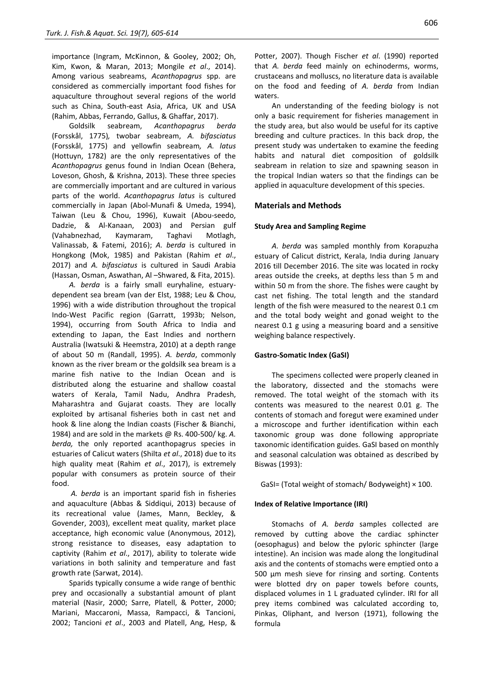importance (Ingram, [McKinnon, & Gooley,](file:///C:/Users/welcome/Desktop/a.latus%20feed.htm%23bib22) 2002; Oh, Kim, Kwon, & Maran, 2013; Mongile *et al*., 2014). Among various seabreams, *Acanthopagrus* spp. are considered as commercially important food fishes for aquaculture throughout several regions of the world such as China, South-east Asia, Africa, UK and USA (Rahim, Abbas, Ferrando, Gallus, & Ghaffar, 2017).

Goldsilk seabream, *Acanthopagrus berda*  (Forsskål, 1775)*,* twobar seabream, *A. bifasciatus* (Forsskål, 1775) and yellowfin seabream*, A. latus*  (Hottuyn, 1782) are the only representatives of the *Acanthopagrus* genus found in Indian Ocean (Behera, Loveson, Ghosh, & Krishna, 2013). These three species are commercially important and are cultured in various parts of the world. *Acanthopagrus latus* is cultured commercially in Japan (Abol-Munafi & Umeda, 1994), Taiwan (Leu & Chou, 1996), Kuwait (Abou-seedo, Dadzie, & Al-Kanaan, 2003) and Persian gulf (Vahabnezhad, Kaymaram, Taghavi Motlagh, Valinassab, & Fatemi, 2016); *A. berda* is cultured in Hongkong (Mok, 1985) and Pakistan (Rahim *et al*., 2017) and *A. bifasciatus* is cultured in Saudi Arabia (Hassan, Osman, Aswathan, Al –Shwared, & Fita, 2015).

*A. berda* is a fairly small euryhaline, estuarydependent sea bream (van der Elst, 1988; Leu & Chou, 1996) with a wide distribution throughout the tropical Indo-West Pacific region (Garratt, 1993b; Nelson, 1994), occurring from South Africa to India and extending to Japan, the East Indies and northern Australia (Iwatsuki & Heemstra, 2010) at a depth range of about 50 m (Randall, 1995). *A. berda*, commonly known as the river bream or the goldsilk sea bream is a marine fish native to the Indian Ocean and is distributed along the estuarine and shallow coastal waters of Kerala, Tamil Nadu, Andhra Pradesh, Maharashtra and Gujarat coasts. They are locally exploited by artisanal fisheries both in cast net and hook & line along the Indian coasts (Fischer & Bianchi, 1984) and are sold in the markets @ Rs. 400-500/ kg. *A. berda,* the only reported acanthopagrus species in estuaries of Calicut waters (Shilta *et al*., 2018) due to its high quality meat (Rahim *et al*., 2017), is extremely popular with consumers as protein source of their food.

*A. berda* is an important sparid fish in fisheries and aquaculture (Abbas & Siddiqui, 2013) because of its recreational value (James, Mann, Beckley, & Govender, 2003), excellent meat quality, market place acceptance, high economic value (Anonymous, 2012), strong resistance to diseases, easy adaptation to captivity (Rahim *et al*., 2017), ability to tolerate wide variations in both salinity and temperature and fast growth rate (Sarwat, 2014).

Sparids typically consume a wide range of benthic prey and occasionally a substantial amount of plant material [\(Nasir,](file:///C:/Users/welcome/Desktop/a.latus%20feed.htm%23bib29) 2000; Sarre, [Platell, & Potter, 2000;](file:///C:/Users/welcome/Desktop/a.latus%20feed.htm%23bib38) Mariani, [Maccaroni, Massa, Rampacci, & Tancioni,](file:///C:/Users/welcome/Desktop/a.latus%20feed.htm%23bib27)  [2002;](file:///C:/Users/welcome/Desktop/a.latus%20feed.htm%23bib27) [Tancioni](file:///C:/Users/welcome/Desktop/a.latus%20feed.htm%23bib43) *et al*., 2003 and Platell, Ang, Hesp, &

Potter, 2007). Though Fischer *et al*. (1990) reported that *A. berda* feed mainly on echinoderms, worms, crustaceans and molluscs, no literature data is available on the food and feeding of *A. berda* from Indian waters.

An understanding of the feeding biology is not only a basic requirement for fisheries management in the study area, but also would be useful for its captive breeding and culture practices. In this back drop, the present study was undertaken to examine the feeding habits and natural diet composition of goldsilk seabream in relation to size and spawning season in the tropical Indian waters so that the findings can be applied in aquaculture development of this species.

#### **Materials and Methods**

#### **Study Area and Sampling Regime**

*A. berda* was sampled monthly from Korapuzha estuary of Calicut district, Kerala, India during January 2016 till December 2016. The site was located in rocky areas outside the creeks, at depths less than 5 m and within 50 m from the shore. The fishes were caught by cast net fishing. The total length and the standard length of the fish were measured to the nearest 0.1 cm and the total body weight and gonad weight to the nearest 0.1 g using a measuring board and a sensitive weighing balance respectively.

#### **Gastro-Somatic Index (GaSI)**

The specimens collected were properly cleaned in the laboratory, dissected and the stomachs were removed. The total weight of the stomach with its contents was measured to the nearest 0.01 g. The contents of stomach and foregut were examined under a microscope and further identification within each taxonomic group was done following appropriate taxonomic identification guides. GaSI based on monthly and seasonal calculation was obtained as described by Biswas (1993):

GaSI= (Total weight of stomach/ Bodyweight) × 100.

#### **Index of Relative Importance (IRI)**

Stomachs of *A. berda* samples collected are removed by cutting above the cardiac sphincter (oesophagus) and below the pyloric sphincter (large intestine). An incision was made along the longitudinal axis and the contents of stomachs were emptied onto a 500 µm mesh sieve for rinsing and sorting. Contents were blotted dry on paper towels before counts, displaced volumes in 1 L graduated cylinder. IRI for all prey items combined was calculated according to, Pinkas, Oliphant, and Iverson (1971), following the formula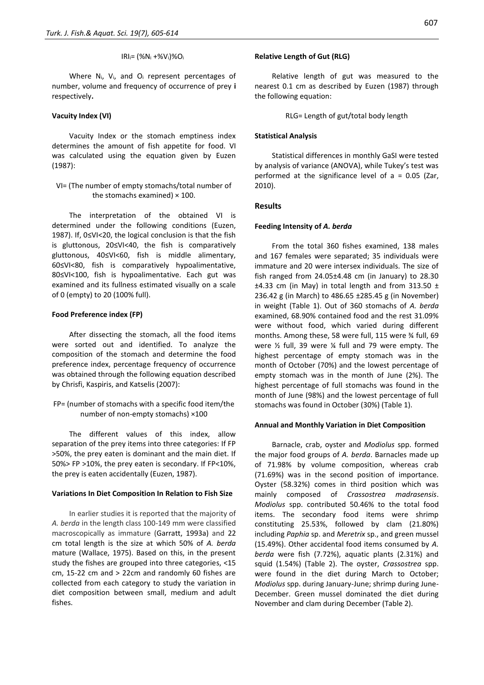#### IRIi= (%N<sup>i</sup> +%Vi)%O<sup>i</sup>

Where Ni, Vi, and O<sup>i</sup> represent percentages of number, volume and frequency of occurrence of prey **i** respectively**.**

#### **Vacuity Index (VI)**

Vacuity Index or the stomach emptiness index determines the amount of fish appetite for food. VI was calculated using the equation given by Euzen (1987):

VI= (The number of empty stomachs/total number of the stomachs examined)  $\times$  100.

The interpretation of the obtained VI is determined under the following conditions (Euzen, 1987). If, 0≤VI<20, the logical conclusion is that the fish is gluttonous, 20≤VI<40, the fish is comparatively gluttonous, 40≤VI<60, fish is middle alimentary, 60≤VI<80, fish is comparatively hypoalimentative, 80≤VI<100, fish is hypoalimentative. Each gut was examined and its fullness estimated visually on a scale of 0 (empty) to 20 (100% full).

#### **Food Preference index (FP)**

After dissecting the stomach, all the food items were sorted out and identified. To analyze the composition of the stomach and determine the food preference index, percentage frequency of occurrence was obtained through the following equation described by Chrisfi, Kaspiris, and Katselis (2007):

FP= (number of stomachs with a specific food item/the number of non-empty stomachs) ×100

The different values of this index, allow separation of the prey items into three categories: If FP >50%, the prey eaten is dominant and the main diet. If 50%> FP >10%, the prey eaten is secondary. If FP<10%, the prey is eaten accidentally (Euzen, 1987).

#### **Variations In Diet Composition In Relation to Fish Size**

In earlier studies it is reported that the majority of *A. berda* in the length class 100-149 mm were classified macroscopically as immature (Garratt, 1993a) and 22 cm total length is the size at which 50% of *A. berda* mature (Wallace, 1975). Based on this, in the present study the fishes are grouped into three categories, <15 cm, 15-22 cm and > 22cm and randomly 60 fishes are collected from each category to study the variation in diet composition between small, medium and adult fishes.

#### **Relative Length of Gut (RLG)**

Relative length of gut was measured to the nearest 0.1 cm as described by Euzen (1987) through the following equation:

RLG= Length of gut/total body length

#### **Statistical Analysis**

Statistical differences in monthly GaSI were tested by analysis of variance (ANOVA), while Tukey's test was performed at the significance level of  $a = 0.05$  (Zar, 2010).

#### **Results**

#### **Feeding Intensity of** *A. berda*

From the total 360 fishes examined, 138 males and 167 females were separated; 35 individuals were immature and 20 were intersex individuals. The size of fish ranged from 24.05±4.48 cm (in January) to 28.30  $\pm$ 4.33 cm (in May) in total length and from 313.50  $\pm$ 236.42 g (in March) to 486.65 ±285.45 g (in November) in weight (Table 1). Out of 360 stomachs of *A. berda* examined, 68.90% contained food and the rest 31.09% were without food, which varied during different months. Among these, 58 were full, 115 were ¾ full, 69 were ½ full, 39 were ¼ full and 79 were empty. The highest percentage of empty stomach was in the month of October (70%) and the lowest percentage of empty stomach was in the month of June (2%). The highest percentage of full stomachs was found in the month of June (98%) and the lowest percentage of full stomachs was found in October (30%) (Table 1).

#### **Annual and Monthly Variation in Diet Composition**

Barnacle, crab, oyster and *Modiolus* spp. formed the major food groups of *A. berda*. Barnacles made up of 71.98% by volume composition, whereas crab (71.69%) was in the second position of importance. Oyster (58.32%) comes in third position which was mainly composed of *Crassostrea madrasensis*. *Modiolus* spp. contributed 50.46% to the total food items. The secondary food items were shrimp constituting 25.53%, followed by clam (21.80%) including *Paphia* sp. and *Meretrix* sp., and green mussel (15.49%). Other accidental food items consumed by *A. berda* were fish (7.72%), aquatic plants (2.31%) and squid (1.54%) (Table 2). The oyster, *Crassostrea* spp. were found in the diet during March to October; *Modiolus* spp. during January-June; shrimp during June-December. Green mussel dominated the diet during November and clam during December (Table 2).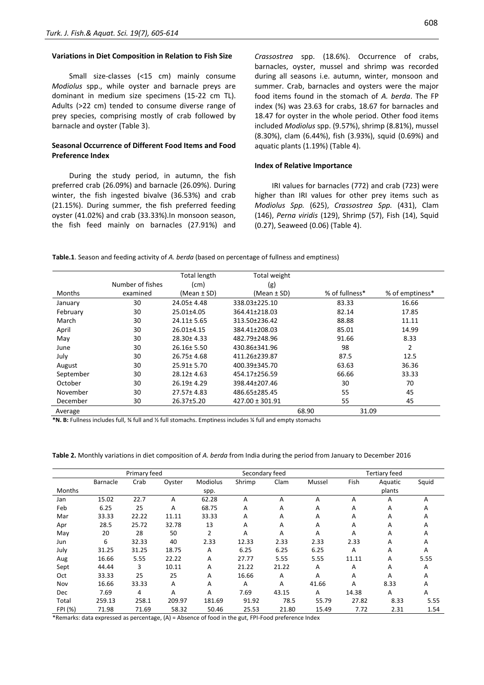#### **Variations in Diet Composition in Relation to Fish Size**

Small size-classes (<15 cm) mainly consume *Modiolus* spp., while oyster and barnacle preys are dominant in medium size specimens (15-22 cm TL). Adults (>22 cm) tended to consume diverse range of prey species, comprising mostly of crab followed by barnacle and oyster (Table 3).

#### **Seasonal Occurrence of Different Food Items and Food Preference Index**

During the study period, in autumn, the fish preferred crab (26.09%) and barnacle (26.09%). During winter, the fish ingested bivalve (36.53%) and crab (21.15%). During summer, the fish preferred feeding oyster (41.02%) and crab (33.33%).In monsoon season, the fish feed mainly on barnacles (27.91%) and *Crassostrea* spp. (18.6%). Occurrence of crabs, barnacles, oyster, mussel and shrimp was recorded during all seasons i.e. autumn, winter, monsoon and summer. Crab, barnacles and oysters were the major food items found in the stomach of *A. berda*. The FP index (%) was 23.63 for crabs, 18.67 for barnacles and 18.47 for oyster in the whole period. Other food items included *Modiolus* spp. (9.57%), shrimp (8.81%), mussel (8.30%), clam (6.44%), fish (3.93%), squid (0.69%) and aquatic plants (1.19%) (Table 4).

#### **Index of Relative Importance**

IRI values for barnacles (772) and crab (723) were higher than IRI values for other prey items such as *Modiolus Spp.* (625), *Crassostrea Spp.* (431), Clam (146), *Perna viridis* (129), Shrimp (57), Fish (14), Squid (0.27), Seaweed (0.06) (Table 4).

**Table.1**. Season and feeding activity of *A. berda* (based on percentage of fullness and emptiness)

|               |                  | <b>Total length</b> | Total weight        |       |                |       |                 |
|---------------|------------------|---------------------|---------------------|-------|----------------|-------|-----------------|
|               | Number of fishes | (cm)                | (g)                 |       |                |       |                 |
| <b>Months</b> | examined         | (Mean $\pm$ SD)     | (Mean $\pm$ SD)     |       | % of fullness* |       | % of emptiness* |
| January       | 30               | 24.05 ± 4.48        | 338.03±225.10       |       | 83.33          |       | 16.66           |
| February      | 30               | 25.01±4.05          | 364.41±218.03       |       | 82.14          |       | 17.85           |
| March         | 30               | 24.11± 5.65         | 313.50±236.42       |       | 88.88          |       | 11.11           |
| April         | 30               | 26.01±4.15          | 384.41±208.03       |       | 85.01          |       | 14.99           |
| May           | 30               | 28.30±4.33          | 482.79±248.96       |       | 91.66          |       | 8.33            |
| June          | 30               | $26.16 \pm 5.50$    | 430.86±341.96       |       | 98             |       | $\overline{2}$  |
| July          | 30               | 26.75±4.68          | 411.26±239.87       |       | 87.5           |       | 12.5            |
| August        | 30               | 25.91± 5.70         | 400.39±345.70       |       | 63.63          |       | 36.36           |
| September     | 30               | 28.12±4.63          | 454.17±256.59       |       | 66.66          |       | 33.33           |
| October       | 30               | $26.19 \pm 4.29$    | 398.44±207.46       |       | 30             |       | 70              |
| November      | 30               | 27.57±4.83          | 486.65±285.45       |       | 55             |       | 45              |
| December      | 30               | 26.37±5.20          | $427.00 \pm 301.91$ |       | 55             |       | 45              |
| Average       |                  |                     |                     | 68.90 |                | 31.09 |                 |

**\*N. B:** Fullness includes full, ¾ full and ½ full stomachs. Emptiness includes ¼ full and empty stomachs

**Table 2.** Monthly variations in diet composition of *A. berda* from India during the period from January to December 2016

|         |          | Primary feed |        |          | Secondary feed |       |        |       | <b>Tertiary feed</b> |       |
|---------|----------|--------------|--------|----------|----------------|-------|--------|-------|----------------------|-------|
|         | Barnacle | Crab         | Oyster | Modiolus | Shrimp         | Clam  | Mussel | Fish  | Aquatic              | Squid |
| Months  |          |              |        | spp.     |                |       |        |       | plants               |       |
| Jan     | 15.02    | 22.7         | A      | 62.28    | A              | A     | A      | A     | A                    | A     |
| Feb     | 6.25     | 25           | А      | 68.75    | A              | A     | A      | A     | A                    | Α     |
| Mar     | 33.33    | 22.22        | 11.11  | 33.33    | A              | A     | A      | A     | A                    | Α     |
| Apr     | 28.5     | 25.72        | 32.78  | 13       | A              | A     | A      | A     | A                    | Α     |
| May     | 20       | 28           | 50     | 2        | A              | A     | A      | A     | A                    | A     |
| Jun     | 6        | 32.33        | 40     | 2.33     | 12.33          | 2.33  | 2.33   | 2.33  | A                    | Α     |
| July    | 31.25    | 31.25        | 18.75  | A        | 6.25           | 6.25  | 6.25   | A     | A                    | Α     |
| Aug     | 16.66    | 5.55         | 22.22  | А        | 27.77          | 5.55  | 5.55   | 11.11 | Α                    | 5.55  |
| Sept    | 44.44    | 3            | 10.11  | A        | 21.22          | 21.22 | A      | A     | Α                    | A     |
| Oct     | 33.33    | 25           | 25     | Α        | 16.66          | A     | A      | A     | Α                    | Α     |
| Nov     | 16.66    | 33.33        | А      | Α        | A              | A     | 41.66  | A     | 8.33                 | Α     |
| Dec     | 7.69     | 4            | A      | A        | 7.69           | 43.15 | A      | 14.38 | A                    | Α     |
| Total   | 259.13   | 258.1        | 209.97 | 181.69   | 91.92          | 78.5  | 55.79  | 27.82 | 8.33                 | 5.55  |
| FPI (%) | 71.98    | 71.69        | 58.32  | 50.46    | 25.53          | 21.80 | 15.49  | 7.72  | 2.31                 | 1.54  |

\*Remarks: data expressed as percentage, (A) = Absence of food in the gut, FPI-Food preference Index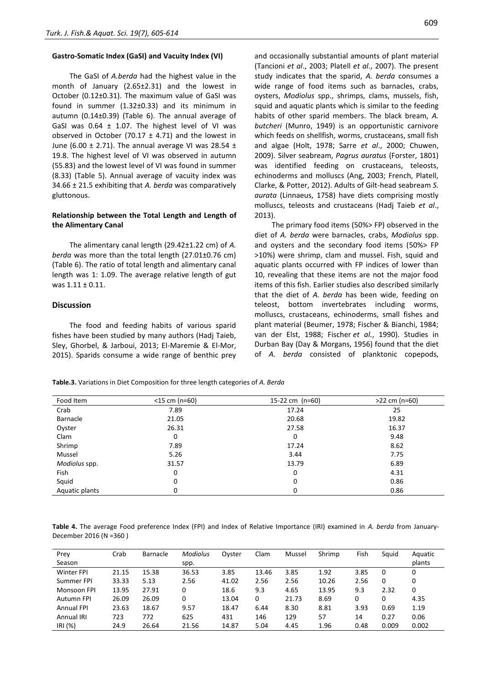#### **Gastro-Somatic Index (GaSI) and Vacuity Index (VI)**

The GaSI of *A.berda* had the highest value in the month of January (2.65±2.31) and the lowest in October (0.12±0.31). The maximum value of GaSI was found in summer (1.32±0.33) and its minimum in autumn (0.14±0.39) (Table 6). The annual average of GaSI was  $0.64 \pm 1.07$ . The highest level of VI was observed in October (70.17  $\pm$  4.71) and the lowest in June (6.00  $\pm$  2.71). The annual average VI was 28.54  $\pm$ 19.8. The highest level of VI was observed in autumn (55.83) and the lowest level of VI was found in summer (8.33) (Table 5). Annual average of vacuity index was 34.66 ± 21.5 exhibiting that *A. berda* was comparatively gluttonous.

#### **Relationship between the Total Length and Length of the Alimentary Canal**

The alimentary canal length (29.42±1.22 cm) of *A. berda* was more than the total length (27.01±0.76 cm) (Table 6). The ratio of total length and alimentary canal length was 1: 1.09. The average relative length of gut was 1.11 ± 0.11.

#### **Discussion**

The food and feeding habits of various sparid fishes have been studied by many authors (Hadj Taieb, Sley, Ghorbel, & Jarboui, 2013; El-Maremie & El-Mor, 2015). Sparids consume a wide range of benthic prey

and occasionally substantial amounts of plant material (Tancioni *et al*., 2003; Platell *et al*., 2007). The present study indicates that the sparid, *A. berda* consumes a wide range of food items such as barnacles, crabs, oysters, *Modiolus* spp., shrimps, clams, mussels, fish, squid and aquatic plants which is similar to the feeding habits of other sparid members. The black bream, *A. butcheri* (Munro, 1949) is an opportunistic carnivore which feeds on shellfish, worms, crustaceans, small fish and algae (Holt, 1978; Sarre *et al*., 2000; Chuwen, 2009). Silver seabream, *Pagrus auratus* (Forster, 1801) was identified feeding on crustaceans, teleosts, echinoderms and molluscs (Ang, 2003; French, Platell, Clarke, & Potter, 2012). Adults of Gilt-head seabream *S. aurata* (Linnaeus, 1758) have diets comprising mostly molluscs, teleosts and crustaceans (Hadj Taieb *et al*., 2013).

The primary food items (50%> FP) observed in the diet of *A. berda* were barnacles, crabs, *Modiolus* spp. and oysters and the secondary food items (50%> FP >10%) were shrimp, clam and mussel. Fish, squid and aquatic plants occurred with FP indices of lower than 10, revealing that these items are not the major food items of this fish. Earlier studies also described similarly that the diet of *A. berda* has been wide, feeding on teleost, bottom invertebrates including worms, molluscs, crustaceans, echinoderms, small fishes and plant material (Beumer, 1978; Fischer & Bianchi, 1984; van der Elst, 1988; Fischer *et al.*, 1990). Studies in Durban Bay (Day & Morgans, 1956) found that the diet of *A. berda* consisted of planktonic copepods,

| Table.3. Variations in Diet Composition for three length categories of A. Berda |  |  |  |  |
|---------------------------------------------------------------------------------|--|--|--|--|
|---------------------------------------------------------------------------------|--|--|--|--|

| Food Item      | $<$ 15 cm (n=60) | 15-22 cm (n=60) | $>22$ cm (n=60) |
|----------------|------------------|-----------------|-----------------|
| Crab           | 7.89             | 17.24           | 25              |
| Barnacle       | 21.05            | 20.68           | 19.82           |
| Oyster         | 26.31            | 27.58           | 16.37           |
| Clam           | 0                | 0               | 9.48            |
| Shrimp         | 7.89             | 17.24           | 8.62            |
| Mussel         | 5.26             | 3.44            | 7.75            |
| Modiolus spp.  | 31.57            | 13.79           | 6.89            |
| Fish           | 0                | 0               | 4.31            |
| Squid          | 0                | 0               | 0.86            |
| Aquatic plants | 0                | 0               | 0.86            |

**Table 4.** The average Food preference Index (FPI) and Index of Relative Importance (IRI) examined in *A. berda* from January-December 2016 (N =360 )

| Prey<br>Season    | Crab  | <b>Barnacle</b> | <b>Modiolus</b><br>spp. | Ovster | Clam  | Mussel | Shrimp | Fish | Squid | Aquatic<br>plants |
|-------------------|-------|-----------------|-------------------------|--------|-------|--------|--------|------|-------|-------------------|
| <b>Winter FPI</b> | 21.15 | 15.38           | 36.53                   | 3.85   | 13.46 | 3.85   | 1.92   | 3.85 | 0     | 0                 |
| Summer FPI        | 33.33 | 5.13            | 2.56                    | 41.02  | 2.56  | 2.56   | 10.26  | 2.56 | 0     | 0                 |
| Monsoon FPI       | 13.95 | 27.91           | 0                       | 18.6   | 9.3   | 4.65   | 13.95  | 9.3  | 2.32  | 0                 |
| Autumn FPI        | 26.09 | 26.09           | 0                       | 13.04  | 0     | 21.73  | 8.69   | 0    | 0     | 4.35              |
| <b>Annual FPI</b> | 23.63 | 18.67           | 9.57                    | 18.47  | 6.44  | 8.30   | 8.81   | 3.93 | 0.69  | 1.19              |
| Annual IRI        | 723   | 772             | 625                     | 431    | 146   | 129    | 57     | 14   | 0.27  | 0.06              |
| IRI(%)            | 24.9  | 26.64           | 21.56                   | 14.87  | 5.04  | 4.45   | 1.96   | 0.48 | 0.009 | 0.002             |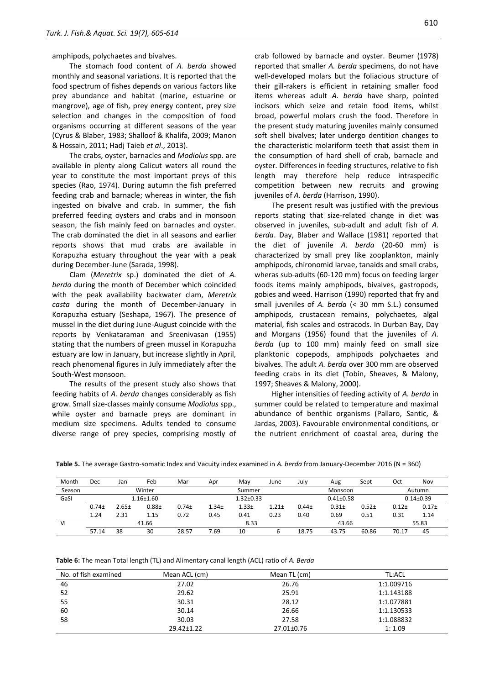amphipods, polychaetes and bivalves.

The stomach food content of *A. berda* showed monthly and seasonal variations. It is reported that the food spectrum of fishes depends on various factors like prey abundance and habitat (marine, estuarine or mangrove), age of fish, prey energy content, prey size selection and changes in the composition of food organisms occurring at different seasons of the year (Cyrus & Blaber, 1983; Shalloof & Khalifa, 2009; Manon & Hossain, 2011; Hadj Taieb *et al*., 2013).

The crabs, oyster, barnacles and *Modiolus* spp. are available in plenty along Calicut waters all round the year to constitute the most important preys of this species (Rao, 1974). During autumn the fish preferred feeding crab and barnacle; whereas in winter, the fish ingested on bivalve and crab. In summer, the fish preferred feeding oysters and crabs and in monsoon season, the fish mainly feed on barnacles and oyster. The crab dominated the diet in all seasons and earlier reports shows that mud crabs are available in Korapuzha estuary throughout the year with a peak during December-June (Sarada, 1998).

Clam (*Meretrix* sp.) dominated the diet of *A. berda* during the month of December which coincided with the peak availability backwater clam, *Meretrix casta* during the month of December-January in Korapuzha estuary (Seshapa, 1967). The presence of mussel in the diet during June-August coincide with the reports by Venkataraman and Sreenivasan (1955) stating that the numbers of green mussel in Korapuzha estuary are low in January, but increase slightly in April, reach phenomenal figures in July immediately after the South-West monsoon.

The results of the present study also shows that feeding habits of *A. berda* changes considerably as fish grow. Small size-classes mainly consume *Modiolus* spp., while oyster and barnacle preys are dominant in medium size specimens. Adults tended to consume diverse range of prey species, comprising mostly of

crab followed by barnacle and oyster. Beumer (1978) reported that smaller *A. berda* specimens, do not have well-developed molars but the foliacious structure of their gill-rakers is efficient in retaining smaller food items whereas adult *A. berda* have sharp, pointed incisors which seize and retain food items, whilst broad, powerful molars crush the food. Therefore in the present study maturing juveniles mainly consumed soft shell bivalves; later undergo dentition changes to the characteristic molariform teeth that assist them in the consumption of hard shell of crab, barnacle and oyster. Differences in feeding structures, relative to fish length may therefore help reduce intraspecific competition between new recruits and growing juveniles of *A. berda* (Harrison, 1990).

The present result was justified with the previous reports stating that size-related change in diet was observed in juveniles, sub-adult and adult fish of *A. berda*. Day, Blaber and Wallace (1981) reported that the diet of juvenile *A. berda* (20-60 mm) is characterized by small prey like zooplankton, mainly amphipods, chironomid larvae, tanaids and small crabs, wheras sub-adults (60-120 mm) focus on feeding larger foods items mainly amphipods, bivalves, gastropods, gobies and weed. Harrison (1990) reported that fry and small juveniles of *A. berda* (< 30 mm S.L.) consumed amphipods, crustacean remains, polychaetes, algal material, fish scales and ostracods. In Durban Bay, Day and Morgans (1956) found that the juveniles of *A. berda* (up to 100 mm) mainly feed on small size planktonic copepods, amphipods polychaetes and bivalves. The adult *A. berda* over 300 mm are observed feeding crabs in its diet (Tobin, Sheaves, & Malony, 1997; Sheaves & Malony, 2000).

Higher intensities of feeding activity of *A. berda* in summer could be related to temperature and maximal abundance of benthic organisms (Pallaro, Santic, & Jardas, 2003). Favourable environmental conditions, or the nutrient enrichment of coastal area, during the

| Month  | Dec               | Jan        | Feb           | Mar               | Apr               | May               | June     | July     | Aug           | Sept    | Oct     | Nov           |
|--------|-------------------|------------|---------------|-------------------|-------------------|-------------------|----------|----------|---------------|---------|---------|---------------|
| Season |                   |            | Winter        |                   |                   | Summer            |          |          | Monsoon       |         |         | Autumn        |
| GaSI   |                   |            | $1.16 + 1.60$ |                   |                   | $1.32 \pm 0.33$   |          |          | $0.41 + 0.58$ |         |         | $0.14 + 0.39$ |
|        | 0.74 <sub>±</sub> | $2.65 \pm$ | $0.88 +$      | 0.74 <sub>±</sub> | 1.34 <sub>±</sub> | 1.33 <sub>±</sub> | $1.21 +$ | $0.44 +$ | $0.31 +$      | $0.52+$ | $0.12+$ | $0.17+$       |
|        | 1.24              | 2.31       | 1.15          | 0.72              | 0.45              | 0.41              | 0.23     | 0.40     | 0.69          | 0.51    | 0.31    | 1.14          |
| ۷ı     |                   |            | 41.66         |                   |                   | 8.33              |          |          | 43.66         |         |         | 55.83         |
|        | 57.14             | 38         | 30            | 28.57             | /.69              | 10                |          | 18.75    | 43.75         | 60.86   | 70.17   | 45            |

| Table 6: The mean Total length (TL) and Alimentary canal length (ACL) ratio of A. Berda |  |  |  |
|-----------------------------------------------------------------------------------------|--|--|--|
|-----------------------------------------------------------------------------------------|--|--|--|

| No. of fish examined | Mean ACL (cm) | Mean TL (cm) | <b>TL:ACL</b> |
|----------------------|---------------|--------------|---------------|
| 46                   | 27.02         | 26.76        | 1:1.009716    |
| 52                   | 29.62         | 25.91        | 1:1.143188    |
| 55                   | 30.31         | 28.12        | 1:1.077881    |
| 60                   | 30.14         | 26.66        | 1:1.130533    |
| 58                   | 30.03         | 27.58        | 1:1.088832    |
|                      | 29.42±1.22    | 27.01±0.76   | 1:1.09        |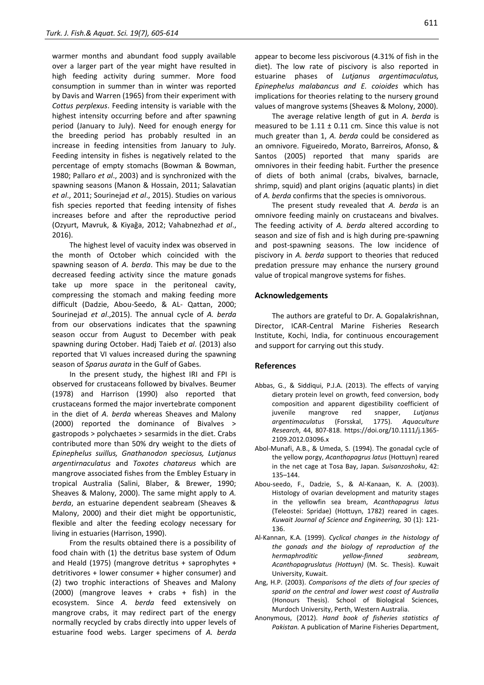warmer months and abundant food supply available over a larger part of the year might have resulted in high feeding activity during summer. More food consumption in summer than in winter was reported by Davis and Warren (1965) from their experiment with *Cottus perplexus*. Feeding intensity is variable with the highest intensity occurring before and after spawning period (January to July). Need for enough energy for the breeding period has probably resulted in an increase in feeding intensities from January to July. Feeding intensity in fishes is negatively related to the percentage of empty stomachs (Bowman & Bowman, 1980; Pallaro *et al*., 2003) and is synchronized with the spawning seasons (Manon & Hossain, 2011; Salavatian *et al*., 2011; Sourinejad *et al*., 2015). Studies on various fish species reported that feeding intensity of fishes increases before and after the reproductive period (Ozyurt, Mavruk, & Kiyağa, 2012; Vahabnezhad *et al*., 2016).

The highest level of vacuity index was observed in the month of October which coincided with the spawning season of *A. berda*. This may be due to the decreased feeding activity since the mature gonads take up more space in the peritoneal cavity, compressing the stomach and making feeding more difficult (Dadzie, Abou-Seedo, & AL- Qattan, 2000; Sourinejad *et al*.,2015). The annual cycle of *A. berda* from our observations indicates that the spawning season occur from August to December with peak spawning during October. Hadj Taieb *et al*. (2013) also reported that VI values increased during the spawning season of *Sparus aurata* in the Gulf of Gabes.

In the present study, the highest IRI and FPI is observed for crustaceans followed by bivalves. Beumer (1978) and Harrison (1990) also reported that crustaceans formed the major invertebrate component in the diet of *A. berda* whereas Sheaves and Malony (2000) reported the dominance of Bivalves > gastropods > polychaetes > sesarmids in the diet. Crabs contributed more than 50% dry weight to the diets of *Epinephelus suillus, Gnathanodon speciosus, Lutjanus argentirnaculatus* and *Toxotes chatareus* which are mangrove associated fishes from the Embley Estuary in tropical Australia (Salini, Blaber, & Brewer, 1990; Sheaves & Malony, 2000). The same might apply to *A. berda*, an estuarine dependent seabream (Sheaves & Malony, 2000) and their diet might be opportunistic, flexible and alter the feeding ecology necessary for living in estuaries (Harrison, 1990).

From the results obtained there is a possibility of food chain with (1) the detritus base system of Odum and Heald (1975) (mangrove detritus + saprophytes + detritivores + lower consumer + higher consumer) and (2) two trophic interactions of Sheaves and Malony (2000) (mangrove leaves + crabs + fish) in the ecosystem. Since *A. berda* feed extensively on mangrove crabs, it may redirect part of the energy normally recycled by crabs directly into upper levels of estuarine food webs. Larger specimens of *A. berda*

appear to become less piscivorous (4.31% of fish in the diet). The low rate of piscivory is also reported in estuarine phases of *Lutjanus argentimaculatus, Epinephelus malabancus and E. coioides* which has implications for theories relating to the nursery ground values of mangrove systems (Sheaves & Molony, 2000).

The average relative length of gut in *A. berda* is measured to be  $1.11 \pm 0.11$  cm. Since this value is not much greater than 1, *A. berda* could be considered as an omnivore. Figueiredo, Morato, Barreiros, Afonso, & Santos (2005) reported that many sparids are omnivores in their feeding habit. Further the presence of diets of both animal (crabs, bivalves, barnacle, shrimp, squid) and plant origins (aquatic plants) in diet of *A. berda* confirms that the species is omnivorous.

The present study revealed that *A. berda* is an omnivore feeding mainly on crustaceans and bivalves. The feeding activity of *A. berda* altered according to season and size of fish and is high during pre-spawning and post-spawning seasons. The low incidence of piscivory in *A. berda* support to theories that reduced predation pressure may enhance the nursery ground value of tropical mangrove systems for fishes.

#### **Acknowledgements**

The authors are grateful to Dr. A. Gopalakrishnan, Director, ICAR-Central Marine Fisheries Research Institute, Kochi, India, for continuous encouragement and support for carrying out this study.

#### **References**

- Abbas, G., & Siddiqui, P.J.A. (2013). The effects of varying dietary protein level on growth, feed conversion, body composition and apparent digestibility coefficient of juvenile mangrove red snapper, *Lutjanus argentimaculatus* (Forsskal, 1775). *Aquaculture Research*, 44, 807-818. [https://doi.org/10.1111/j.1365-](https://doi.org/10.1111/j.1365-2109.2012.03096.x) [2109.2012.03096.x](https://doi.org/10.1111/j.1365-2109.2012.03096.x)
- Abol-Munafi, A.B., & Umeda, S. (1994). The gonadal cycle of the yellow porgy, *Acanthopagrus latus* (Hottuyn) reared in the net cage at Tosa Bay, Japan. *Suisanzoshoku*, 42: 135–144.
- Abou-seedo, F., Dadzie, S., & Al-Kanaan, K. A. (2003). Histology of ovarian development and maturity stages in the yellowfin sea bream, *Acanthopagrus latus* (Teleostei: Spridae) (Hottuyn, 1782) reared in cages. *Kuwait Journal of Science and Engineering,* 30 (1): 121- 136.
- Al-Kannan, K.A. (1999). *Cyclical changes in the histology of the gonads and the biology of reproduction of the hermaphroditic yellow-finned seabream, Acanthopagruslatus (Hottuyn)* (M. Sc. Thesis). Kuwait University, Kuwait.
- Ang, H.P. (2003). *Comparisons of the diets of four species of sparid on the central and lower west coast of Australia*  (Honours Thesis). School of Biological Sciences, Murdoch University, Perth, Western Australia.
- Anonymous, (2012). *Hand book of fisheries statistics of Pakistan.* A publication of Marine Fisheries Department,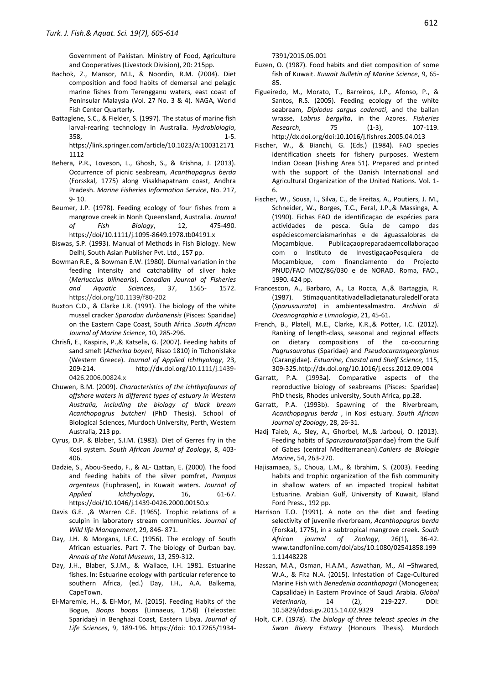Government of Pakistan. Ministry of Food, Agriculture and Cooperatives (Livestock Division), 20: 215pp.

- Bachok, Z., Mansor, M.I., & Noordin, R.M. (2004). Diet composition and food habits of demersal and pelagic marine fishes from Terengganu waters, east coast of Peninsular Malaysia (Vol. 27 No. 3 & 4). NAGA, World Fish Center Quarterly.
- Battaglene, S.C., & Fielder, S. (1997). The status of marine fish larval-rearing technology in Australia. *Hydrobiologia*,  $358,$  1-5. [https://link.springer.com/article/10.1023/A:100312171](https://link.springer.com/article/10.1023/A:1003121711112) [1112](https://link.springer.com/article/10.1023/A:1003121711112)
- Behera, P.R., Loveson, L., Ghosh, S., & Krishna, J. (2013). Occurrence of picnic seabream, *Acanthopagrus berda*  (Forsskal, 1775) along Visakhapatnam coast, Andhra Pradesh. *Marine Fisheries Information Service*, No. 217, 9- 10.
- Beumer, J.P. (1978). Feeding ecology of four fishes from a mangrove creek in Nonh Queensland, Australia. *Journal of Fish Biology*, 12, 475-490. https://doi/10.1111/j.1095-8649.1978.tb04191.x
- Biswas, S.P. (1993). Manual of Methods in Fish Biology. New Delhi, South Asian Publisher Pvt. Ltd., 157 pp.
- Bowman R.E., & Bowman E.W. (1980). Diurnal variation in the feeding intensity and catchability of silver hake (*Merluccius bilinearis*). *Canadian Journal of Fisheries and Aquatic Sciences*, 37, 1565- 1572. <https://doi.org/10.1139/f80-202>
- Buxton C.D., & Clarke J.R. (1991). The biology of the white mussel cracker *Sparodon durbanensis* (Pisces: Sparidae) on the Eastern Cape Coast, South Africa .*South African Journal of Marine Science*, 10, 285-296.
- Chrisfi, E., Kaspiris, P.,& Katselis, G. (2007). Feeding habits of sand smelt (*Atherina boyeri*, Risso 1810) in Tichonislake (Western Greece). *Journal of Applied Ichthyology*, 23, 209-214. http://dx.doi.org/10.1111/j.1439- 0426.2006.00824.x
- Chuwen, B.M. (2009). *Characteristics of the ichthyofaunas of offshore waters in different types of estuary in Western Australia, including the biology of black bream Acanthopagrus butcheri* (PhD Thesis). School of Biological Sciences, Murdoch University, Perth, Western Australia, 213 pp.
- Cyrus, D.P. & Blaber, S.I.M. (1983). Diet of Gerres fry in the Kosi system. *South African Journal of Zoology*, 8, 403- 406.
- Dadzie, S., Abou-Seedo, F., & AL- Qattan, E. (2000). The food and feeding habits of the silver pomfret, *Pampus argenteus* (Euphrasen), in Kuwait waters. *Journal of Applied Ichthyology*, 16, 61-67. https://doi/10.1046/j.1439-0426.2000.00150.x
- Davis G.E. ,& Warren C.E. (1965). Trophic relations of a sculpin in laboratory stream communities. *Journal of Wild life Management*, 29, 846- 871.
- Day, J.H. & Morgans, I.F.C. (1956). The ecology of South African estuaries. Part 7. The biology of Durban bay. *Annals of the Natal Museum*, 13, 259-312.
- Day, J.H., Blaber, S.J.M., & Wallace, I.H. 1981. Estuarine fishes. In: Estuarine ecology with particular reference to southern Africa, (ed.) Day, I.H., A.A. Balkema, CapeTown.
- El-Maremie, H., & El-Mor, M. (2015). Feeding Habits of the Bogue, *Boops boops* (Linnaeus, 1758) (Teleostei: Sparidae) in Benghazi Coast, Eastern Libya. *Journal of Life Sciences*, 9, 189-196. https://doi: 10.17265/1934-

7391/2015.05.001

- Euzen, O. (1987). Food habits and diet composition of some fish of Kuwait. *Kuwait Bulletin of Marine Science*, 9, 65- 85.
- Figueiredo, M., Morato, T., Barreiros, J.P., Afonso, P., & Santos, R.S. (2005). Feeding ecology of the white seabream, *Diplodus sargus cadenati*, and the ballan wrasse, *Labrus bergylta*, in the Azores. *Fisheries Research*, 75 (1-3), 107-119. http://dx.doi.org/doi:10.1016/j.fishres.2005.04.013
- Fischer, W., & Bianchi, G. (Eds.) (1984). FAO species identification sheets for fishery purposes. Western Indian Ocean (Fishing Area 51). Prepared and printed with the support of the Danish International and Agricultural Organization of the United Nations. Vol. 1- 6.
- Fischer, W., Sousa, I., Silva, C., de Freitas, A., Poutiers, J. M., Schneider, W., Borges, T.C., Feral, J.P.,& Massinga, A. (1990). Fichas FAO de identificaçao de espécies para actividades de pesca. Guia de campo das espéciescomerciaismarinhas e de águassalobras de Moçambique. Publicaçaopreparadaemcollaboraçao com o Instituto de InvestigaçaoPesquiera de Moçambique, com financiamento do Projecto PNUD/FAO MOZ/86/030 e de NORAD. Roma, FAO., 1990. 424 pp.
- Francescon, A., Barbaro, A., La Rocca, A.,& Bartaggia, R. (1987). Stimaquantitativadelladietanaturaledell'orata (*Sparusaurata*) in ambientesalmastro. *Archivio di Oceanographia e Limnologia*, 21, 45-61.
- French, B., Platell, M.E., Clarke, K.R.,& Potter, I.C. (2012). Ranking of length-class, seasonal and regional effects on dietary compositions of the co-occurring *Pagrusauratus* (Sparidae) and *Pseudocaranxgeorgianus* (Carangidae). *Estuarine, Coastal and Shelf Science,* 115, 309-325[.http://dx.doi.org/10.1016/j.ecss.2012.09.004](http://dx.doi.org/10.1016/j.ecss.2012.09.004)
- Garratt, P.A. (1993a). Comparative aspects of the reproductive biology of seabreams (Pisces: Sparidae) PhD thesis, Rhodes university, South Africa, pp.28.
- Garratt, P.A. (1993b). Spawning of the Riverbream, *Acanthopagrus berda* , in Kosi estuary. *South African Journal of Zoology*, 28, 26-31.
- Hadj Taieb, A., Sley, A., Ghorbel, M.,& Jarboui, O. (2013). Feeding habits of *Sparusaurata*(Sparidae) from the Gulf of Gabes (central Mediterranean).*Cahiers de Biologie Marine*, 54, 263-270.
- Hajisamaea, S., Choua, L.M., & Ibrahim, S. (2003). Feeding habits and trophic organization of the fish community in shallow waters of an impacted tropical habitat Estuarine. Arabian Gulf, University of Kuwait, Bland Ford Press., 192 pp.
- Harrison T.O. (1991). A note on the diet and feeding selectivity of juvenile riverbream, *Acanthopagrus berda* (Forskal, 1775), in a subtropical mangrove creek. *South African journal of Zoology*, 26(1), 36-42. www.tandfonline.com/doi/abs/10.1080/02541858.199 1.11448228
- Hassan, M.A., Osman, H.A.M., Aswathan, M., Al –Shwared, W.A., & Fita N.A. (2015). Infestation of Cage-Cultured Marine Fish with *Benedenia acanthopagri* (Monogenea; Capsalidae) in Eastern Province of Saudi Arabia. *Global Veterinaria,* 14 (2), 219-227. DOI: 10.5829/idosi.gv.2015.14.02.9329
- Holt, C.P. (1978). *The biology of three teleost species in the Swan Rivery Estuary* (Honours Thesis). Murdoch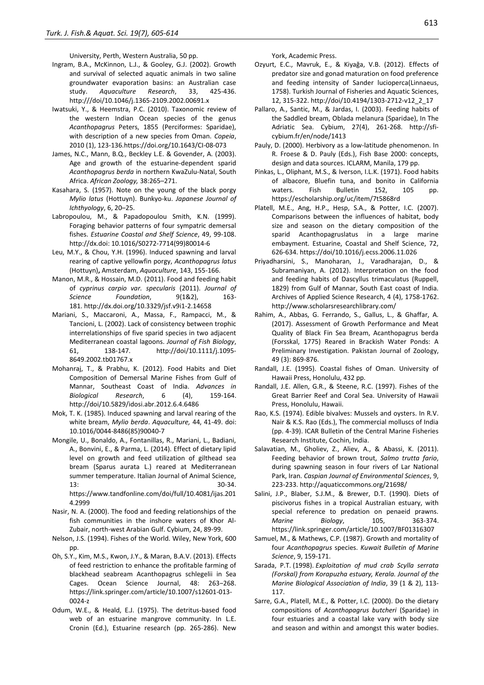University, Perth, Western Australia, 50 pp.

- Ingram, B.A., McKinnon, L.J., & Gooley, G.J. (2002). Growth and survival of selected aquatic animals in two saline groundwater evaporation basins: an Australian case study. *Aquaculture Research*, 33, 425-436. http:///doi/10.1046/j.1365-2109.2002.00691.x
- Iwatsuki, Y., & Heemstra, P.C. (2010). Taxonomic review of the western Indian Ocean species of the genus *Acanthopagrus* Peters, 1855 (Perciformes: Sparidae), with description of a new species from Oman. *Copeia*, 2010 (1), 123-136.https://doi.org/10.1643/CI-08-073
- James, N.C., Mann, B.Q., Beckley L.E. & Govender, A. (2003). Age and growth of the estuarine-dependent sparid *Acanthopagrus berda* in northern KwaZulu-Natal, South Africa. *African Zoology,* 38:265–271.
- Kasahara, S. (1957). Note on the young of the black porgy *Mylio latus* (Hottuyn). Bunkyo-ku. *Japanese Journal of Ichthyology*, 6, 20–25.
- Labropoulou, M., & Papadopoulou Smith, K.N. (1999). Foraging behavior patterns of four sympatric demersal fishes. *Estuarine Coastal and Shelf Science*, 49, 99-108. http://dx.doi: 10.1016/S0272-7714(99)80014-6
- Leu, M.Y., & Chou, Y.H. (1996). Induced spawning and larval rearing of captive yellowfin porgy, *Acanthopagrus latus*  (Hottuyn)**,** Amsterdam, *Aquaculture*, 143, 155-166.
- Manon, M.R., & Hossain, M.D. (2011). Food and feeding habit of *cyprinus carpio var. specularis* (2011). *Journal of Science Foundation*, 9(1&2), 163- 181. <http://dx.doi.org/10.3329/jsf.v9i1-2.14658>
- Mariani, S., Maccaroni, A., Massa, F., Rampacci, M., & Tancioni, L. (2002). Lack of consistency between trophic interrelationships of five sparid species in two adjacent Mediterranean coastal lagoons. *Journal of Fish Biology*, 61, 138-147. [http://doi/10.1111/j.1095-](http://doi/10.1111/j.1095-8649.2002.tb01767.x) [8649.2002.tb01767.x](http://doi/10.1111/j.1095-8649.2002.tb01767.x)
- Mohanraj, T., & Prabhu, K. (2012). Food Habits and Diet Composition of Demersal Marine Fishes from Gulf of Mannar, Southeast Coast of India. *Advances in Biological Research*, 6 (4), 159-164. <http://doi/10.5829/idosi.abr.2012.6.4.6486>
- Mok, T. K. (1985). Induced spawning and larval rearing of the white bream, *Mylio berda*. *Aquaculture,* 44, 41-49. doi: 10.1016/0044-8486(85)90040-7
- Mongile, U., Bonaldo, A., Fontanillas, R., Mariani, L., Badiani, A., Bonvini, E., & Parma, L. (2014). Effect of dietary lipid level on growth and feed utilization of gilthead sea bream (Sparus aurata L.) reared at Mediterranean summer temperature. Italian Journal of Animal Science, 13: 30-34. https://www.tandfonline.com/doi/full/10.4081/ijas.201
- 4.2999 Nasir, N. A. (2000). The food and feeding relationships of the fish communities in the inshore waters of Khor Al-
- Zubair, north-west Arabian Gulf. Cybium, 24, 89-99. Nelson, J.S. (1994). Fishes of the World. Wiley, New York, 600
- pp.
- Oh, S.Y., Kim, M.S., Kwon, J.Y., & Maran, B.A.V. (2013). Effects of feed restriction to enhance the profitable farming of blackhead seabream Acanthopagrus schlegelii in Sea Cages. Ocean Science Journal, 48: 263−268. https://link.springer.com/article/10.1007/s12601-013- 0024-z
- Odum, W.E., & Heald, E.J. (1975). The detritus-based food web of an estuarine mangrove community. In L.E. Cronin (Ed.), Estuarine research (pp. 265-286). New

York, Academic Press.

- Ozyurt, E.C., Mavruk, E., & Kiyağa, V.B. (2012). Effects of predator size and gonad maturation on food preference and feeding intensity of Sander lucioperca(Linnaeus, 1758). Turkish Journal of Fisheries and Aquatic Sciences, 12, 315-322. http://doi/10.4194/1303-2712-v12\_2\_17
- Pallaro, A., Santic, M., & Jardas, I. (2003). Feeding habits of the Saddled bream, Oblada melanura (Sparidae), In The Adriatic Sea. Cybium, 27(4), 261-268. http://sficybium.fr/en/node/1413
- Pauly, D. (2000). Herbivory as a low-latitude phenomenon. In R. Froese & D. Pauly (Eds.), Fish Base 2000: concepts, design and data sources. ICLARM, Manila, 179 pp.
- Pinkas, L., Oliphant, M.S., & Iverson, I.L.K. (1971). Food habits of albacore, Bluefin tuna, and bonito in California waters. Fish Bulletin 152, 105 pp. https://escholarship.org/uc/item/7t5868rd
- Platell, M.E., Ang, H.P., Hesp, S.A., & Potter, I.C. (2007). Comparisons between the influences of habitat, body size and season on the dietary composition of the sparid Acanthopagruslatus in a large marine embayment. Estuarine, Coastal and Shelf Science, 72, 626-634. https://doi[/10.1016/j.ecss.2006.11.026](http://dx.doi.org/10.1016/j.ecss.2006.11.026)
- Priyadharsini, S., Manoharan, J., Varadharajan, D., & Subramaniyan, A. (2012). Interpretation on the food and feeding habits of Dascyllus trimaculatus (Ruppell, 1829) from Gulf of Mannar, South East coast of India. Archives of Applied Science Research, 4 (4), 1758-1762. <http://www.scholarsresearchlibrary.com/>
- Rahim, A., Abbas, G. Ferrando, S., Gallus, L., & Ghaffar, A. (2017). Assessment of Growth Performance and Meat Quality of Black Fin Sea Bream, Acanthopagrus berda (Forsskal, 1775) Reared in Brackish Water Ponds: A Preliminary Investigation. Pakistan Journal of Zoology, 49 (3): 869-876.
- Randall, J.E. (1995). Coastal fishes of Oman. University of Hawaii Press, Honolulu, 432 pp.
- Randall, J.E. Allen, G.R., & Steene, R.C. (1997). Fishes of the Great Barrier Reef and Coral Sea. University of Hawaii Press, Honolulu, Hawaii.
- Rao, K.S. (1974). Edible bivalves: Mussels and oysters. In R.V. Nair & K.S. Rao (Eds.), The commercial molluscs of India (pp. 4-39). ICAR Bulletin of the Central Marine Fisheries Research Institute, Cochin, India.
- Salavatian, M., Gholiev, Z., Aliev, A., & Abassi, K. (2011). Feeding behavior of brown trout, *Salmo trutta fario*, during spawning season in four rivers of Lar National Park, Iran. *Caspian Journal of Environmental Sciences*, 9, 223-233. http://aquaticcommons.org/21698/
- Salini, J.P., Blaber, S.J.M., & Brewer, D.T. (1990). Diets of piscivorus fishes in a tropical Australian estuary, with special reference to predation on penaeid prawns. *Marine Biology*, 105, 363-374. https://link.springer.com/article/10.1007/BF01316307
- Samuel, M., & Mathews, C.P. (1987). Growth and mortality of four *Acanthopagrus* species. *Kuwait Bulletin of Marine Science*, 9, 159-171.
- Sarada, P.T. (1998). *Exploitation of mud crab Scylla serrata (Forskal) from Korapuzha estuary, Kerala. Journal of the Marine Biological Association of India*, 39 (1 & 2), 113- 117.
- Sarre, G.A., Platell, M.E., & Potter, I.C. (2000). Do the dietary compositions of *Acanthopagrus butcheri* (Sparidae) in four estuaries and a coastal lake vary with body size and season and within and amongst this water bodies.